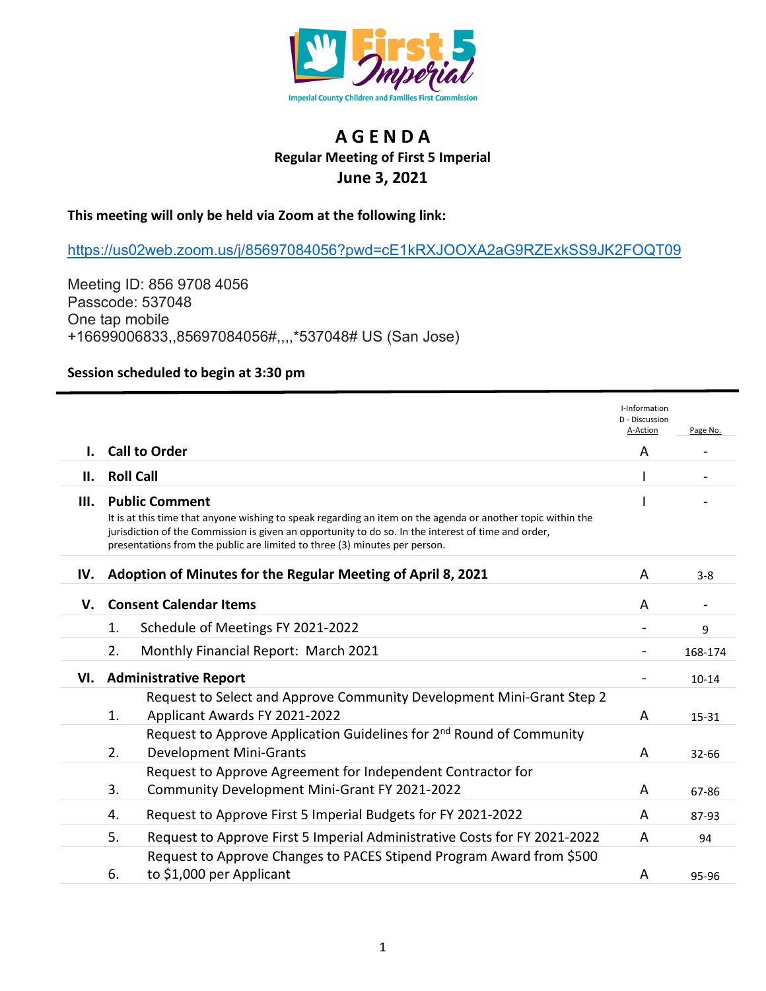

## **A G E N D A Regular Meeting of First 5 Imperial June 3, 2021**

## **This meeting will only be held via Zoom at the following link:**

[https://us02web.zoom.us/j/85697084056?pwd=cE1kRXJOOXA2aG9RZExkSS9JK2FOQT09](https://gcc02.safelinks.protection.outlook.com/?url=https%3A%2F%2Fus02web.zoom.us%2Fj%2F85697084056%3Fpwd%3DcE1kRXJOOXA2aG9RZExkSS9JK2FOQT09&data=04%7C01%7CBead%40co.imperial.ca.us%7Ce26712ca1a394c1d8afc08d9215bd1e0%7C0fbc78d78fb84a93925d26fe36f4e204%7C0%7C0%7C637577500668205405%7CUnknown%7CTWFpbGZsb3d8eyJWIjoiMC4wLjAwMDAiLCJQIjoiV2luMzIiLCJBTiI6Ik1haWwiLCJXVCI6Mn0%3D%7C1000&sdata=Z6rfvvNVQMn5DMBr1XfMdHDI2kk79%2FSJNHSth4vvj%2BY%3D&reserved=0)

Meeting ID: 856 9708 4056 Passcode: 537048 One tap mobile +16699006833,,85697084056#,,,,\*537048# US (San Jose)

## **Session scheduled to begin at 3:30 pm**

|     |                                                                                                                                                                                                                                             | I-Information<br>D - Discussion |           |
|-----|---------------------------------------------------------------------------------------------------------------------------------------------------------------------------------------------------------------------------------------------|---------------------------------|-----------|
|     |                                                                                                                                                                                                                                             | A-Action                        | Page No.  |
| I.  | <b>Call to Order</b>                                                                                                                                                                                                                        | Α                               |           |
| Ш.  | <b>Roll Call</b>                                                                                                                                                                                                                            |                                 |           |
| Ш.  | <b>Public Comment</b><br>It is at this time that anyone wishing to speak regarding an item on the agenda or another topic within the<br>jurisdiction of the Commission is given an opportunity to do so. In the interest of time and order, |                                 |           |
|     | presentations from the public are limited to three (3) minutes per person.                                                                                                                                                                  |                                 |           |
| IV. | Adoption of Minutes for the Regular Meeting of April 8, 2021                                                                                                                                                                                | A                               | $3 - 8$   |
| V.  | <b>Consent Calendar Items</b>                                                                                                                                                                                                               | A                               |           |
|     | Schedule of Meetings FY 2021-2022<br>1.                                                                                                                                                                                                     |                                 | 9         |
|     | 2.<br>Monthly Financial Report: March 2021                                                                                                                                                                                                  |                                 | 168-174   |
| VI. | <b>Administrative Report</b>                                                                                                                                                                                                                |                                 | $10 - 14$ |
|     | Request to Select and Approve Community Development Mini-Grant Step 2<br>Applicant Awards FY 2021-2022<br>1.                                                                                                                                | A                               | 15-31     |
|     | Request to Approve Application Guidelines for 2 <sup>nd</sup> Round of Community<br><b>Development Mini-Grants</b><br>2.                                                                                                                    | A                               | 32-66     |
|     | Request to Approve Agreement for Independent Contractor for<br>3.<br>Community Development Mini-Grant FY 2021-2022                                                                                                                          | A                               | 67-86     |
|     | Request to Approve First 5 Imperial Budgets for FY 2021-2022<br>4.                                                                                                                                                                          | A                               | 87-93     |
|     | 5.<br>Request to Approve First 5 Imperial Administrative Costs for FY 2021-2022                                                                                                                                                             | A                               | 94        |
|     | Request to Approve Changes to PACES Stipend Program Award from \$500<br>to \$1,000 per Applicant<br>6.                                                                                                                                      | A                               | 95-96     |